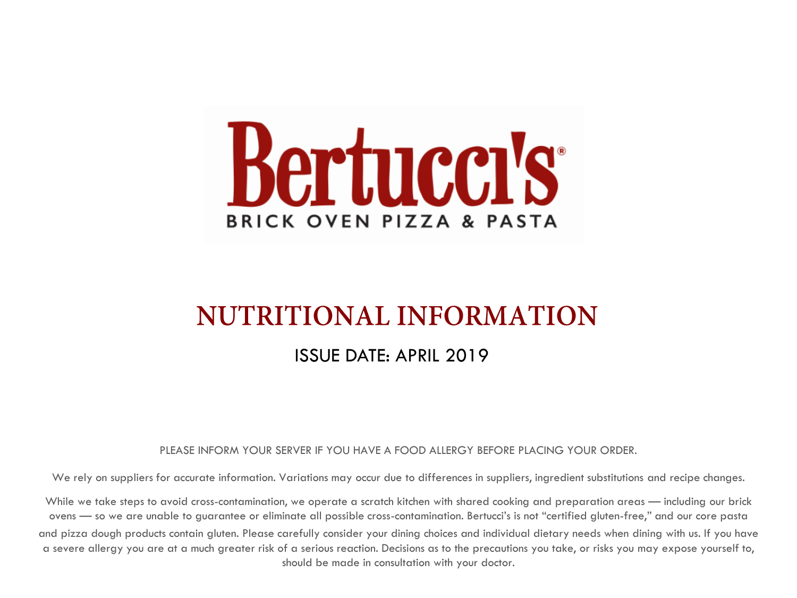

# **NUTRITIONAL INFORMATION**

## ISSUE DATE: APRIL 2019

### PLEASE INFORM YOUR SERVER IF YOU HAVE A FOOD ALLERGY BEFORE PLACING YOUR ORDER.

We rely on suppliers for accurate information. Variations may occur due to differences in suppliers, ingredient substitutions and recipe changes.

While we take steps to avoid cross-contamination, we operate a scratch kitchen with shared cooking and preparation areas — including our brick ovens — so we are unable to guarantee or eliminate all possible cross-contamination. Bertucci's is not "certified gluten-free," and our core pasta and pizza dough products contain gluten. Please carefully consider your dining choices and individual dietary needs when dining with us. If you have a severe allergy you are at a much greater risk of a serious reaction. Decisions as to the precautions you take, or risks you may expose yourself to, should be made in consultation with your doctor.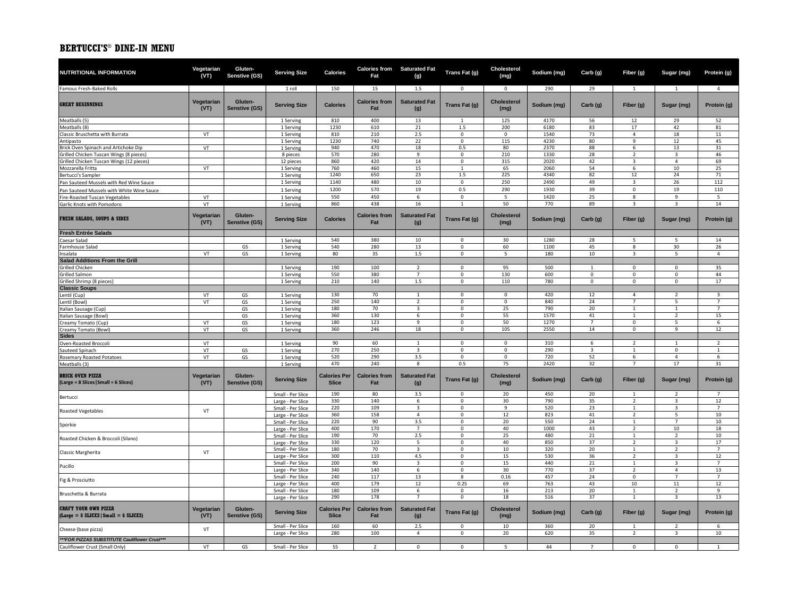| NUTRITIONAL INFORMATION                                                              | Vegetarian<br>(VT) | Gluten-<br>Senstive (GS)        | <b>Serving Size</b>                    | <b>Calories</b>                     | Fat                         | <b>Calories from Saturated Fat</b><br>(g) | Trans Fat (g)              | Cholesterol<br>(mg)        | Sodium (mg)  | Carb (g)                | Fiber (g)                        | Sugar (mg)                                | Protein (g)          |
|--------------------------------------------------------------------------------------|--------------------|---------------------------------|----------------------------------------|-------------------------------------|-----------------------------|-------------------------------------------|----------------------------|----------------------------|--------------|-------------------------|----------------------------------|-------------------------------------------|----------------------|
| Famous Fresh-Baked Rolls                                                             |                    |                                 | 1 roll                                 | 150                                 | 15                          | 1.5                                       | $\Omega$                   | $\mathbf 0$                | 290          | 29                      | $\mathbf{1}$                     | $\mathbf{1}$                              | $\Delta$             |
| <b>GREAT BEGINNINGS</b>                                                              | Vegetarian<br>(VT) | Gluten-<br><b>Senstive (GS)</b> | <b>Serving Size</b>                    | <b>Calories</b>                     | <b>Calories from</b><br>Fat | <b>Saturated Fat</b><br>(g)               | Trans Fat (g)              | <b>Cholesterol</b><br>(mg) | Sodium (mg)  | Carb (g)                | Fiber (g)                        | Sugar (mg)                                | Protein (g)          |
| Meatballs (5)                                                                        |                    |                                 | 1 Serving                              | 810                                 | 400                         | 13                                        | $\mathbf{1}$               | 125                        | 4170         | 56                      | 12                               | 29                                        | 52                   |
| Meatballs (8)                                                                        |                    |                                 | 1 Serving                              | 1230                                | 610                         | 21                                        | 1.5                        | 200                        | 6180         | 83                      | 17                               | 42                                        | 81                   |
| Classic Bruschetta with Burrata                                                      | VT                 |                                 | 1 Serving                              | 810                                 | 210                         | 2.5                                       | $^{\circ}$                 | $\mathbf 0$                | 1540         | 73                      | $\overline{4}$                   | 18                                        | 11                   |
| Antipasto                                                                            |                    |                                 | 1 Serving                              | 1230                                | 740<br>470                  | 22                                        | 0                          | 115                        | 4230         | 80                      | 9<br>6                           | 12                                        | 45                   |
| Brick Oven Spinach and Artichoke Dip<br>Grilled Chicken Tuscan Wings (8 pieces)      | VT                 |                                 | 1 Serving<br>8 pieces                  | 940<br>570                          | 280                         | 18<br>9                                   | 0.5<br>$\mathbf 0$         | 80<br>210                  | 2370<br>1330 | 88<br>28                | $\overline{2}$                   | 13<br>3                                   | 31<br>46             |
| Grilled Chicken Tuscan Wings (12 pieces)                                             |                    |                                 | 12 pieces                              | 860                                 | 420                         | 14                                        | $\pmb{0}$                  | 315                        | 2020         | 42                      | 3                                | $\overline{4}$                            | 69                   |
| Mozzarella Fritta                                                                    | VT                 |                                 | 1 Serving                              | 760                                 | 460                         | 15                                        | $\overline{1}$             | 65                         | 2060         | 54                      | 6                                | 10                                        | 25                   |
| Bertucci's Sampler                                                                   |                    |                                 | 1 Serving                              | 1240                                | 650                         | 23                                        | 1.5                        | 225                        | 4340         | 82                      | 12                               | 24                                        | 71                   |
| Pan Sauteed Mussels with Red Wine Sauce                                              |                    |                                 | 1 Serving                              | 1140                                | 480                         | 10                                        | $\mathsf 0$                | 250                        | 2490         | 49                      | 3                                | 26                                        | 112                  |
| Pan Sauteed Mussels with White Wine Sauce                                            |                    |                                 | 1 Serving                              | 1200                                | 570                         | 19                                        | 0.5                        | 290                        | 1930         | 39                      | $\mathbf 0$                      | 19                                        | 110                  |
| Fire-Roasted Tuscan Vegetables                                                       | VT                 |                                 | 1 Serving                              | 550                                 | 450                         | 6                                         | $\pmb{0}$                  | 5                          | 1420         | 25                      | 8                                | 9                                         | 5                    |
| Garlic Knots with Pomodoro                                                           | VT                 |                                 | 1 Serving                              | 860                                 | 438                         | 16                                        | $\mathbf{1}$               | 50                         | 770          | 89                      | $\overline{3}$                   | $\overline{3}$                            | 14                   |
| <b>FRESH SALADS, SOUPS &amp; SIDES</b>                                               | Vegetarian<br>(VT) | Gluten-<br>Senstive (GS)        | <b>Serving Size</b>                    | <b>Calories</b>                     | <b>Calories from</b><br>Fat | <b>Saturated Fat</b><br>(g)               | Trans Fat (g)              | <b>Cholesterol</b><br>(mg) | Sodium (mg)  | Carb (g)                | Fiber (g)                        | Sugar (mg)                                | Protein (g)          |
| <b>Fresh Entrée Salads</b>                                                           |                    |                                 |                                        |                                     |                             |                                           |                            |                            |              |                         |                                  |                                           |                      |
| Caesar Salad                                                                         |                    |                                 | 1 Serving                              | 540                                 | 380                         | 10                                        | $\mathbf 0$                | 30                         | 1280         | 28                      | 5                                | 5                                         | 14                   |
| Farmhouse Salad                                                                      | VT                 | GS<br>GS                        | 1 Serving                              | 540<br>80                           | 280<br>35                   | 13<br>$1.5\,$                             | $\mathsf 0$<br>$\mathsf 0$ | 60<br>5                    | 1100<br>180  | 45<br>10                | 8<br>$\overline{3}$              | 30<br>5                                   | 26<br>4              |
| Insalata<br><b>Salad Additions From the Grill</b>                                    |                    |                                 | 1 Serving                              |                                     |                             |                                           |                            |                            |              |                         |                                  |                                           |                      |
| <b>Grilled Chicken</b>                                                               |                    |                                 | 1 Serving                              | 190                                 | 100                         | $\overline{2}$                            | $\mathsf 0$                | 95                         | 500          | 1                       | $\mathsf 0$                      | 0                                         | 35                   |
| Grilled Salmon                                                                       |                    |                                 | 1 Serving                              | 550                                 | 380                         | $\overline{7}$                            | $\mathsf 0$                | 130                        | 600          | $\mathbf 0$             | $\Omega$                         | $\mathsf 0$                               | 44                   |
| Grilled Shrimp (8 pieces)                                                            |                    |                                 | 1 Serving                              | 210                                 | 140                         | $1.5\,$                                   | $\mathbf 0$                | 110                        | 780          | $\mathsf 0$             | 0                                | $\mathbf 0$                               | 17                   |
| <b>Classic Soups</b>                                                                 |                    |                                 |                                        |                                     |                             |                                           |                            |                            |              |                         |                                  |                                           |                      |
| Lentil (Cup)                                                                         | VT                 | GS                              | 1 Serving                              | 130                                 | 70                          | $\mathbf{1}$                              | $\mathbf 0$                | $\mathbf 0$                | 420          | 12                      | $\overline{a}$                   | $\overline{2}$                            | 3                    |
| Lentil (Bowl)                                                                        | VT                 | GS                              | 1 Serving                              | 250                                 | 140                         | $\overline{2}$<br>$\overline{\mathbf{3}}$ | $\mathsf 0$                | $\mathbf 0$                | 840          | 24                      | $\overline{7}$                   | 5                                         | $\overline{7}$       |
| Italian Sausage (Cup)                                                                |                    | GS                              | 1 Serving                              | 180<br>360                          | 70<br>130                   | 6                                         | $\mathbf 0$<br>$\mathbf 0$ | 25<br>55                   | 790<br>1570  | 20<br>41                | $\overline{1}$<br>$\mathbf{1}$   | $\mathbf{1}$<br>$\overline{2}$            | $\overline{7}$<br>15 |
| Italian Sausage (Bowl)<br>Creamy Tomato (Cup)                                        | VT                 | GS<br>GS                        | 1 Serving<br>1 Serving                 | 180                                 | 123                         | 9                                         | $\mathsf 0$                | 50                         | 1270         | $\overline{7}$          | $\mathsf 0$                      | 5                                         | 6                    |
| Creamy Tomato (Bowl)                                                                 | VT                 | GS                              | 1 Serving                              | 360                                 | 246                         | 18                                        | $\mathsf 0$                | 105                        | 2550         | 14                      | $\Omega$                         | 9                                         | 12                   |
| <b>Sides</b>                                                                         |                    |                                 |                                        |                                     |                             |                                           |                            |                            |              |                         |                                  |                                           |                      |
| Oven-Roasted Broccoli                                                                | VT                 |                                 | 1 Serving                              | 90                                  | 60                          | $\mathbf{1}$                              | $\mathbf 0$                | $\mathbf 0$                | 310          | 6                       | $\overline{2}$                   | 1                                         | $\overline{2}$       |
| Sauteed Spinach                                                                      | VT                 | GS                              | 1 Serving                              | 270                                 | 250                         | $\overline{\mathbf{3}}$                   | $\mathbf 0$                | $\mathbf 0$                | 290          | $\overline{\mathbf{3}}$ | $\mathbf{1}$                     | $\mathbf 0$                               | $\mathbf{1}$         |
| <b>Rosemary Roasted Potatoes</b>                                                     | VT                 | GS                              | 1 Serving                              | 520                                 | 290                         | 3.5                                       | $\Omega$                   | $\mathsf 0$                | 720          | 52                      | 6                                | 4                                         | 6                    |
| Meatballs (3)                                                                        |                    |                                 | 1 Serving                              | 470                                 | 240                         | 8                                         | 0.5                        | 75                         | 2420         | 32                      | $\overline{7}$                   | 17                                        | 31                   |
| <b>BRICK OVEN PIZZA</b><br>(Large = 8 Slices   Small = 6 Slices)                     | Vegetarian<br>(VT) | Gluten-<br>Senstive (GS)        | <b>Serving Size</b>                    | <b>Calories Per</b><br><b>Slice</b> | <b>Calories from</b><br>Fat | <b>Saturated Fat</b><br>(g)               | Trans Fat (g)              | <b>Cholesterol</b><br>(mg) | Sodium (mg)  | Carb (g)                | Fiber (g)                        | Sugar (mg)                                | Protein (g)          |
| Bertucci                                                                             |                    |                                 | Small - Per Slice                      | 190                                 | 80                          | 3.5                                       | $\mathsf 0$                | 20                         | 450          | 20                      | $\mathbf{1}$                     | $\overline{2}$                            | $\overline{7}$       |
|                                                                                      |                    |                                 | Large - Per Slice                      | 330                                 | 140                         | 6                                         | $\mathsf 0$                | 30                         | 790          | 35                      | $\overline{2}$                   | $\overline{\mathbf{3}}$                   | 12                   |
| <b>Roasted Vegetables</b>                                                            | VT                 |                                 | Small - Per Slice                      | 220                                 | 109<br>158                  | $\overline{3}$                            | $\mathsf 0$                | 9<br>12                    | 520          | 23                      | $\mathbf{1}$                     | $\overline{3}$<br>5                       | $\overline{7}$       |
|                                                                                      |                    |                                 | Large - Per Slice<br>Small - Per Slice | 360<br>220                          | 90                          | $\overline{4}$<br>3.5                     | $\mathsf 0$<br>$\mathbf 0$ | 20                         | 823<br>550   | 41<br>24                | $\overline{2}$<br>$\mathbf{1}$   | 7                                         | 10<br>10             |
| Sporkie                                                                              |                    |                                 | Large - Per Slice                      | 400                                 | 170                         | $\overline{7}$                            | $\mathbf 0$                | 40                         | 1000         | 43                      | $\overline{2}$                   | 10                                        | 18                   |
| Roasted Chicken & Broccoli (Silano)                                                  |                    |                                 | Small - Per Slice                      | 190                                 | 70                          | 2.5                                       | $\mathsf 0$                | 25                         | 480          | 21                      | $\mathbf{1}$                     | $\overline{2}$                            | 10                   |
|                                                                                      |                    |                                 | Large - Per Slice                      | 330                                 | 120                         | $\overline{5}$                            | $\mathsf 0$                | 40                         | 850          | 37                      | $\overline{z}$                   | $\overline{3}$                            | 17                   |
| Classic Margherita                                                                   | VT                 |                                 | Small - Per Slice<br>Large - Per Slice | 180<br>300                          | 70<br>110                   | $\overline{\mathbf{3}}$<br>4.5            | $\mathbf 0$<br>$\mathbf 0$ | $10\,$<br>15               | 320<br>530   | 20<br>36                | $\overline{1}$<br>$\overline{2}$ | $\overline{2}$<br>$\overline{\mathbf{3}}$ | $\overline{7}$<br>12 |
| Pucillo                                                                              |                    |                                 | Small - Per Slice                      | 200                                 | 90                          | 3                                         | $\mathsf 0$                | 15                         | 440          | 21                      | $\overline{1}$                   | 3                                         | $\overline{7}$       |
|                                                                                      |                    |                                 | Large - Per Slice                      | 340                                 | 140                         | 6                                         | $\mathsf 0$                | 30                         | 770          | 37                      | $\overline{2}$                   | 4                                         | 13                   |
| Fig & Prosciutto                                                                     |                    |                                 | Small - Per Slice                      | 240                                 | 117                         | 13                                        | 8                          | 0.16                       | 457          | 24                      | $\Omega$                         | $\overline{7}$                            | $\overline{7}$       |
|                                                                                      |                    |                                 | Large - Per Slice<br>Small - Per Slice | 400<br>180                          | 179<br>109                  | 12<br>6                                   | 0.25<br>$\mathbf 0$        | 69<br>16                   | 763<br>213   | 43<br>20                | 10<br>$\mathbf{1}$               | 11<br>$\overline{2}$                      | 12<br>9              |
| Bruschetta & Burrata                                                                 |                    |                                 | Large - Per Slice                      | 290                                 | 178                         | $\overline{7}$                            | $\Omega$                   | 18                         | 516          | 37                      | $\overline{1}$                   | $\overline{3}$                            | 13                   |
| <b>CRAFT YOUR OWN PIZZA</b><br>$\text{(Large = 8 SLLCES}   \text{Small} = 6 SLLCES)$ | Vegetarian<br>(VT) | Gluten-<br>Senstive (GS)        | <b>Serving Size</b>                    | <b>Calories Per</b><br><b>Slice</b> | <b>Calories from</b><br>Fat | <b>Saturated Fat</b><br>(g)               | Trans Fat (g)              | <b>Cholesterol</b><br>(mg) | Sodium (mg)  | Carb (g)                | Fiber (g)                        | Sugar (mg)                                | Protein (g)          |
| Cheese (base pizza)                                                                  | VT                 |                                 | Small - Per Slice                      | 160                                 | 60                          | 2.5                                       | $\mathsf 0$                | 10                         | 360          | 20                      | $\mathbf{1}$                     | 2                                         | 6                    |
|                                                                                      |                    |                                 | Large - Per Slice                      | 280                                 | 100                         | $\overline{4}$                            | $\mathbf 0$                | 20                         | 620          | 35                      | $\overline{2}$                   | $\overline{3}$                            | 10                   |
| *** FOR PIZZAS SUBSTITUTE Cauliflower Crust***                                       |                    |                                 |                                        |                                     |                             |                                           |                            |                            |              |                         |                                  |                                           |                      |
| Cauliflower Crust (Small Only)                                                       | VT                 | GS                              | Small - Per Slice                      | 55                                  | $\overline{2}$              | $\Omega$                                  | $\Omega$                   | 5                          | 44           | $\overline{7}$          | $\Omega$                         | $\mathbf 0$                               | $\mathbf{1}$         |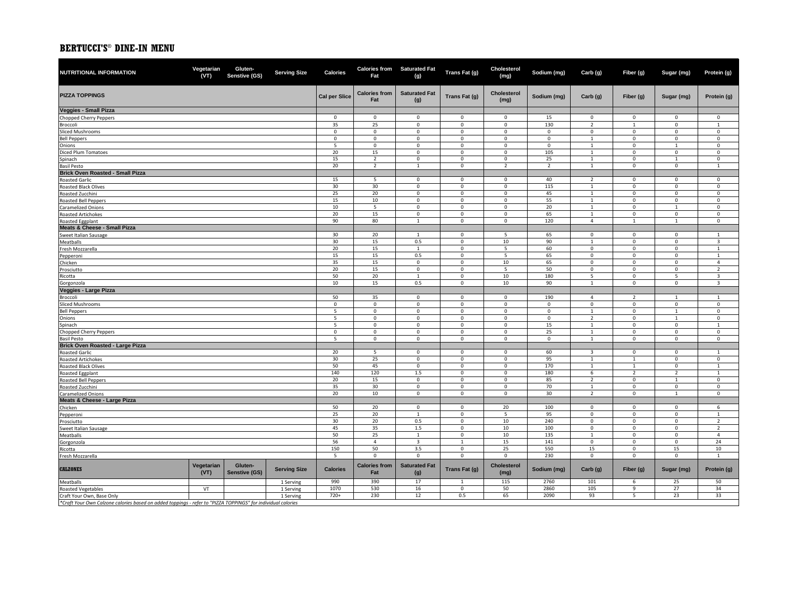| NUTRITIONAL INFORMATION                                | Vegetarian<br>(VT) | Gluten-<br>Senstive (GS) | <b>Serving Size</b> | Calories             | Fat                         | Calories from Saturated Fat<br>(g) | Trans Fat (g)              | Cholesterol<br>(mg)        | Sodium (mg)         | Carb (g)                     | Fiber (g)                   | Sugar (mg)                 | Protein (g)                 |
|--------------------------------------------------------|--------------------|--------------------------|---------------------|----------------------|-----------------------------|------------------------------------|----------------------------|----------------------------|---------------------|------------------------------|-----------------------------|----------------------------|-----------------------------|
| <b>PIZZA TOPPINGS</b>                                  |                    |                          |                     | <b>Cal per Slice</b> | <b>Calories from</b><br>Fat | <b>Saturated Fat</b><br>(g)        | Trans Fat (g)              | <b>Cholesterol</b><br>(mg) | Sodium (mg)         | Carb (g)                     | Fiber (g)                   | Sugar (mg)                 | Protein (g)                 |
| Veggies - Small Pizza                                  |                    |                          |                     |                      |                             |                                    |                            |                            |                     |                              |                             |                            |                             |
| Chopped Cherry Peppers                                 |                    |                          |                     | $\mathsf 0$          | $\mathbf 0$                 | $\mathsf 0$                        | $\mathsf 0$                | $\mathbf 0$                | 15                  | $\mathsf 0$                  | $\mathsf 0$                 | $\mathsf 0$                | $\mathsf 0$                 |
| Broccoli                                               |                    |                          |                     | 35                   | 25                          | $\mathsf 0$                        | $\mathsf 0$                | $\mathbf 0$                | 130                 | $\overline{2}$               | $\mathbf{1}$                | $\mathbf 0$                | $\mathbf{1}$                |
| <b>Sliced Mushrooms</b>                                |                    |                          |                     | $\Omega$             | $\mathbf 0$                 | $\mathbf 0$                        | $\mathbf 0$                | $\mathbf{0}$               | $\Omega$            | $\mathbf 0$                  | $\mathbf 0$                 | $\Omega$                   | $\mathbf 0$                 |
| <b>Bell Peppers</b>                                    |                    |                          |                     | $\mathbf 0$          | $\mathsf{O}\xspace$         | $\mathbf 0$                        | $\mathsf 0$                | $\mathbf 0$                | $\mathsf{O}\xspace$ | $\mathbf{1}$                 | $\mathsf 0$                 | $\mathsf{O}\xspace$        | $\mathsf 0$                 |
| Onions                                                 |                    |                          |                     | 5                    | $\mathbf 0$                 | $\mathbf 0$                        | $\mathbf 0$                | $\mathbf 0$                | 0                   | $\mathbf{1}$                 | $\mathbf 0$                 | 1                          | $\mathsf{O}\xspace$         |
| Diced Plum Tomatoes                                    |                    |                          |                     | 20                   | 15                          | $\mathbf 0$                        | $\mathbf 0$                | $\mathbf 0$                | 105                 | <sup>1</sup>                 | $\mathbf 0$                 | $\mathbf 0$                | $\mathbf 0$                 |
| Spinach                                                |                    |                          |                     | 15                   | $\overline{2}$              | $\mathsf 0$                        | $\mathbf 0$                | $\mathbf 0$                | 25                  | $\mathbf{1}$                 | $\mathsf{O}\xspace$         | $\mathbf{1}$               | $\mathsf{O}\xspace$         |
| <b>Basil Pesto</b>                                     |                    |                          |                     | 20                   | $\overline{2}$              | $\mathbf{1}$                       | $\mathsf 0$                | $\overline{2}$             | $\overline{2}$      | $\mathbf{1}$                 | $\mathsf{O}\xspace$         | $\mathsf{O}\xspace$        | $\mathbf{1}$                |
| <b>Brick Oven Roasted - Small Pizza</b>                |                    |                          |                     |                      |                             |                                    |                            |                            |                     |                              |                             |                            |                             |
| <b>Roasted Garlic</b>                                  |                    |                          |                     | 15                   | 5                           | $\mathbf 0$                        | $\mathbf 0$                | $\mathbf 0$                | 40                  | $\overline{2}$               | $\mathsf 0$                 | $\mathsf 0$                | $\mathsf{O}\xspace$         |
| <b>Roasted Black Olives</b>                            |                    |                          |                     | 30                   | 30                          | $\mathsf 0$                        | $\mathsf 0$                | $\mathbf 0$                | 115                 | 1                            | $\mathsf 0$                 | $\mathbf 0$                | $\mathbf 0$                 |
| Roasted Zucchini                                       |                    |                          |                     | 25                   | 20                          | $\mathsf 0$                        | $\mathsf 0$                | $\mathbf 0$                | 45                  | <sup>1</sup>                 | $\mathbf 0$                 | $\mathbf 0$                | $\mathbf 0$                 |
| Roasted Bell Peppers                                   |                    |                          |                     | 15                   | 10                          | $\mathsf 0$                        | $\mathbf 0$                | $\mathbf 0$                | 55                  | $\mathbf{1}$                 | $\mathsf 0$                 | $\mathbf 0$                | $\mathsf 0$                 |
| <b>Caramelized Onions</b>                              |                    |                          |                     | 10                   | 5                           | $\mathsf 0$                        | $\mathsf 0$                | $\mathbf 0$                | 20                  | 1                            | $\mathsf{O}\xspace$         | 1                          | $\mathsf 0$                 |
| Roasted Artichokes                                     |                    |                          |                     | 20                   | 15                          | $\mathsf 0$                        | $\mathbf 0$                | $\mathbf 0$                | 65                  | $\mathbf{1}$                 | $\mathsf{O}\xspace$         | $\mathsf{O}\xspace$        | $\mathsf 0$                 |
| Roasted Eggplant                                       |                    |                          |                     | 90                   | 80                          | 1                                  | $\mathbf 0$                | $\mathbf{0}$               | 120                 | $\overline{4}$               | $\mathbf{1}$                | $\mathbf{1}$               | $\mathbf{0}$                |
| Meats & Cheese - Small Pizza                           |                    |                          |                     |                      |                             |                                    |                            |                            |                     |                              |                             |                            |                             |
| Sweet Italian Sausage                                  |                    |                          |                     | 30                   | 20                          | 1                                  | $\mathsf 0$                | 5                          | 65                  | $\mathsf 0$                  | $\mathbf{0}$                | $\mathbf 0$                | $\mathbf{1}$                |
| Meatballs                                              |                    |                          |                     | 30                   | 15                          | 0.5                                | $\mathbf 0$                | 10                         | 90                  | $\mathbf{1}$                 | $\mathbf 0$                 | 0                          | $\overline{3}$              |
| Fresh Mozzarella                                       |                    |                          |                     | 20                   | 15                          | 1                                  | $\mathbf 0$                | 5                          | 60                  | $\mathsf 0$                  | $^{\circ}$                  | 0                          | 1                           |
| Pepperoni                                              |                    |                          |                     | 15                   | 15                          | 0.5                                | $\mathbf 0$                | 5                          | 65                  | $\mathbf 0$                  | $\mathsf{O}\xspace$         | $\mathsf{O}\xspace$        | $\mathbf{1}$                |
| Chicken                                                |                    |                          |                     | 35                   | 15                          | $\mathbf 0$                        | $\mathbf 0$                | 10                         | 65                  | $\mathsf 0$                  | $\mathbf 0$                 | $\mathbf 0$                | $\overline{4}$              |
| Prosciutto                                             |                    |                          |                     | 20                   | 15                          | $\mathsf 0$                        | $\mathsf 0$                | 5                          | 50                  | $\mathbf 0$                  | $\mathsf 0$                 | $\mathbf 0$                | $\overline{2}$              |
| Ricotta                                                |                    |                          |                     | 50                   | 20                          | $\mathbf{1}$                       | $\mathsf 0$                | 10                         | 180                 | 5                            | $\mathbf 0$                 | 5                          | $\overline{3}$              |
| Gorgonzola                                             |                    |                          |                     | 10                   | 15                          | 0.5                                | $\mathsf 0$                | 10                         | 90                  | $\mathbf{1}$                 | $\mathbf 0$                 | $\mathsf 0$                | $\overline{\mathbf{3}}$     |
| Veggies - Large Pizza                                  |                    |                          |                     |                      |                             |                                    |                            |                            |                     |                              |                             |                            |                             |
| Broccoli                                               |                    |                          |                     | 50                   | 35                          | $\mathsf 0$                        | $\mathsf 0$                | $\mathbf 0$                | 190                 | $\overline{4}$               | $\overline{2}$              | $\mathbf{1}$               | $\mathbf{1}$                |
| Sliced Mushrooms                                       |                    |                          |                     | $\mathsf 0$          | $\mathbf 0$                 | $\mathsf 0$                        | $\mathbf 0$                | $\mathbf 0$                | $\mathbf 0$         | $\mathbf 0$                  | $\mathsf 0$                 | $\mathbf 0$                | $\mathbf 0$                 |
| <b>Bell Peppers</b>                                    |                    |                          |                     | 5                    | $\mathsf 0$                 | $\mathsf 0$                        | $\mathbf 0$                | $\mathbf 0$                | $\mathsf{O}\xspace$ | $\mathbf{1}$                 | $\mathbf 0$                 | $\mathbf{1}$               | $\mathsf 0$                 |
| Onions                                                 |                    |                          |                     | 5                    | $\mathbf{0}$                | $\mathbf 0$                        | $\mathbf 0$                | $\mathbf 0$                | 0                   | $\overline{2}$               | $\mathbf 0$                 | $\mathbf{1}$               | $\mathbf 0$                 |
| Spinach                                                |                    |                          |                     | 5                    | $\mathbf 0$<br>$\mathbf 0$  | $\mathbf 0$<br>$\mathsf 0$         | $\mathbf 0$<br>$\mathsf 0$ | $\mathbf 0$                | 15<br>25            | $\mathbf{1}$<br><sup>1</sup> | $\mathsf 0$<br>$\mathbf{0}$ | $\mathbf 0$                | $\mathbf{1}$<br>$\mathbf 0$ |
| Chopped Cherry Peppers                                 |                    |                          |                     | $\mathbf 0$<br>5     | $\mathbf 0$                 | $\mathsf 0$                        | $\mathsf 0$                | $\mathsf 0$<br>$\mathbf 0$ | $\mathsf 0$         | $\mathbf{1}$                 | $\mathbf 0$                 | $\mathsf 0$<br>$\mathsf 0$ | $\mathsf 0$                 |
| <b>Basil Pesto</b><br>Brick Oven Roasted - Large Pizza |                    |                          |                     |                      |                             |                                    |                            |                            |                     |                              |                             |                            |                             |
| Roasted Garlic                                         |                    |                          |                     | 20                   | 5                           | $\mathbf 0$                        | $\mathsf 0$                | $\mathbf 0$                | 60                  | $\overline{\mathbf{3}}$      | $\mathbf 0$                 | $\mathsf 0$                | $\mathbf{1}$                |
| Roasted Artichokes                                     |                    |                          |                     | 30                   | 25                          | $\mathsf 0$                        | $\mathbf 0$                | $\mathbf 0$                | 95                  | $\mathbf{1}$                 | $\overline{1}$              | $\mathbf 0$                | $\mathsf 0$                 |
| Roasted Black Olives                                   |                    |                          |                     | 50                   | 45                          | $\mathbf 0$                        | $\mathsf 0$                | $\mathbf 0$                | 170                 | $\mathbf{1}$                 | $\mathbf{1}$                | $\mathbf 0$                | $\mathbf{1}$                |
| <b>Roasted Eggplant</b>                                |                    |                          |                     | 140                  | 120                         | 1.5                                | $\mathbf 0$                | $\mathbf 0$                | 180                 | 6                            | $\overline{2}$              | $\overline{2}$             | $\mathbf{1}$                |
| Roasted Bell Peppers                                   |                    |                          |                     | 20                   | 15                          | $\mathbf 0$                        | $\mathbf 0$                | $\mathbf 0$                | 85                  | $\overline{2}$               | $\mathbf 0$                 | $\mathbf{1}$               | $\mathsf{O}\xspace$         |
| Roasted Zucchini                                       |                    |                          |                     | 35                   | 30                          | $\mathbf 0$                        | $\mathsf 0$                | $\mathbf 0$                | 70                  | <sup>1</sup>                 | $\mathbf 0$                 | $\mathbf 0$                | $\mathbf 0$                 |
| <b>Caramelized Onions</b>                              |                    |                          |                     | 20                   | 10                          | $\mathsf 0$                        | $\mathbf 0$                | $\mathbf 0$                | 30                  | $\overline{2}$               | $\mathsf{O}\xspace$         | $\mathbf{1}$               | $\mathsf 0$                 |
| Meats & Cheese - Large Pizza                           |                    |                          |                     |                      |                             |                                    |                            |                            |                     |                              |                             |                            |                             |
| Chicken                                                |                    |                          |                     | 50                   | 20                          | $\mathbf 0$                        | $\mathbf{0}$               | 20                         | 100                 | $\mathsf 0$                  | $\mathbf{0}$                | $\mathbf 0$                | 6                           |
| Pepperoni                                              |                    |                          |                     | 25                   | 20                          | $\mathbf{1}$                       | $\mathbf 0$                | $\overline{\phantom{a}}$   | 95                  | $\mathbf 0$                  | $\mathsf{O}\xspace$         | $\overline{0}$             | $\mathbf{1}$                |
| Prosciutto                                             |                    |                          |                     | 30                   | 20                          | 0.5                                | $\mathsf 0$                | 10                         | 240                 | $\mathbf 0$                  | $\Omega$                    | 0                          | $\overline{2}$              |
| Sweet Italian Sausage                                  |                    |                          |                     | 45                   | 35                          | 1.5                                | $\mathbf 0$                | 10                         | 100                 | $\mathbf 0$                  | $\mathbf 0$                 | $\mathbf 0$                | $\overline{2}$              |
| Meatballs                                              |                    |                          |                     | 50                   | 25                          | $\mathbf{1}$                       | $\mathbf 0$                | 10                         | 135                 | $\overline{1}$               | $\mathbf 0$                 | $\mathbf{0}$               | $\overline{4}$              |
| Gorgonzola                                             |                    |                          |                     | 56                   | $\overline{4}$              | $\overline{\mathbf{3}}$            | 1                          | 15                         | 141                 | $\mathbf 0$                  | $\mathsf 0$                 | $\mathsf 0$                | 24                          |
| Ricotta                                                |                    |                          |                     | 150                  | 50                          | 3.5                                | $\mathbf 0$                | 25                         | 550                 | 15                           | $\Omega$                    | 15                         | 10                          |
| Fresh Mozzarella                                       |                    |                          |                     | 5                    | $\mathsf 0$                 | $\mathsf 0$                        | $\mathbf 0$                | $\mathsf 0$                | 230                 | $\mathbf 0$                  | $\mathbf 0$                 | $\mathsf 0$                | $\mathbf{1}$                |
| <b>CALZONES</b>                                        | Vegetarian<br>(VT) | Gluten-<br>Senstive (GS) | <b>Serving Size</b> | <b>Calories</b>      | <b>Calories from</b><br>Fat | <b>Saturated Fat</b><br>(g)        | Trans Fat (g)              | <b>Cholesterol</b><br>(mg) | Sodium (mg)         | Carb (g)                     | Fiber (g)                   | Sugar (mg)                 | Protein (g)                 |
| Meatballs                                              |                    |                          | 1 Serving           | 990                  | 390                         | 17                                 | $\mathbf{1}$               | 115                        | 2760                | 101                          | 6                           | 25                         | 50                          |
| <b>Roasted Vegetables</b>                              | VT                 |                          | 1 Serving           | 1070                 | 530                         | 16                                 | $\mathbf 0$                | 50                         | 2860                | 105                          | 9                           | 27                         | 34                          |
| Craft Your Own, Base Only                              |                    |                          | 1 Serving           | $720+$               | 230                         | 12                                 | 0.5                        | 65                         | 2090                | 93                           | 5                           | 23                         | 33                          |
|                                                        |                    | $\frac{1}{2}$            |                     |                      |                             |                                    |                            |                            |                     |                              |                             |                            |                             |

*\*Craft Your Own Calzone calories based on added toppings - refer to "PIZZA TOPPINGS" for individual calories*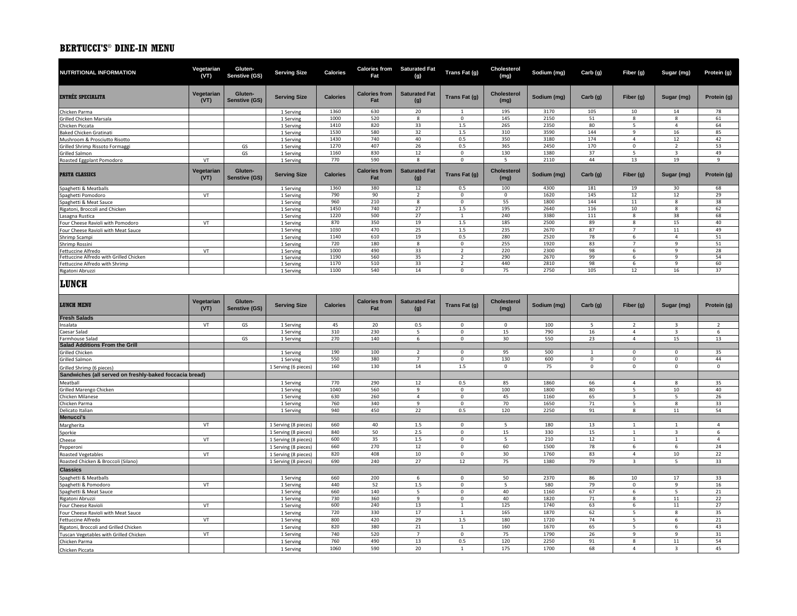| NUTRITIONAL INFORMATION                                 | Vegetarian<br>(VT) | Gluten-<br>Senstive (GS) | <b>Serving Size</b>    | <b>Calories</b> | Fat                         | <b>Calories from Saturated Fat</b><br>(g) | Trans Fat (g)             | Cholesterol<br>(mg)        | Sodium (mg)  | Carb (g)                | Fiber (g)                        | Sugar (mg)                       | Protein (g)    |
|---------------------------------------------------------|--------------------|--------------------------|------------------------|-----------------|-----------------------------|-------------------------------------------|---------------------------|----------------------------|--------------|-------------------------|----------------------------------|----------------------------------|----------------|
| <b>ENTRÉE SPECIALITA</b>                                | Vegetarian<br>(VT) | Gluten-<br>Senstive (GS) | <b>Serving Size</b>    | <b>Calories</b> | <b>Calories from</b><br>Fat | <b>Saturated Fat</b><br>(g)               | Trans Fat (g)             | <b>Cholesterol</b><br>(mg) | Sodium (mg)  | Carb (g)                | Fiber (g)                        | Sugar (mg)                       | Protein (g)    |
| Chicken Parma                                           |                    |                          | 1 Serving              | 1360            | 630                         | 20                                        | $\overline{1}$            | 195                        | 3170         | 105                     | 10                               | 14                               | 78             |
| Grilled Chicken Marsala                                 |                    |                          | 1 Serving              | 1000            | 520                         | 8                                         | $\mathbf{0}$              | 145                        | 2150         | 51                      | 8                                | 8                                | 61             |
| Chicken Piccata                                         |                    |                          | 1 Serving              | 1410            | 820                         | 33                                        | 1.5                       | 265                        | 2350         | 80                      | 5                                | $\overline{4}$                   | 64             |
| <b>Baked Chicken Gratinati</b>                          |                    |                          | 1 Serving              | 1530            | 580                         | 32                                        | 1.5                       | 310                        | 3590         | 144                     | 9                                | 16                               | 85             |
| Mushroom & Prosciutto Risotto                           |                    |                          | 1 Serving              | 1430            | 740                         | 40                                        | 0.5                       | 350                        | 3180         | 174                     | $\overline{4}$                   | 12                               | 42             |
| Grilled Shrimp Rissoto Formaggi<br>Grilled Salmon       |                    | GS<br>GS                 | 1 Serving<br>1 Serving | 1270<br>1160    | 407<br>830                  | 26<br>12                                  | 0.5<br>$\mathbf 0$        | 365<br>130                 | 2450<br>1380 | 170<br>37               | $\mathsf 0$<br>5                 | $\overline{2}$<br>$\overline{3}$ | 53<br>49       |
| Roasted Eggplant Pomodoro                               | VT                 |                          | 1 Serving              | 770             | 590                         | 8                                         | $\mathbf 0$               | 5                          | 2110         | 44                      | 13                               | 19                               | $\mathbf{q}$   |
| <b>PASTA CLASSICS</b>                                   | Vegetarian<br>(VT) | Gluten-<br>Senstive (GS) | <b>Serving Size</b>    | <b>Calories</b> | <b>Calories from</b><br>Fat | <b>Saturated Fat</b><br>(g)               | Trans Fat (g)             | <b>Cholesterol</b><br>(mg) | Sodium (mg)  | Carb (g)                | Fiber (g)                        | Sugar (mg)                       | Protein (g)    |
| Spaghetti & Meatballs                                   |                    |                          | 1 Serving              | 1360            | 380                         | 12                                        | 0.5                       | 100                        | 4300         | 181                     | 19                               | 30                               | 68             |
| Spaghetti Pomodoro                                      | VT                 |                          | 1 Serving              | 790             | 90                          | $\overline{2}$                            | $\mathbf 0$               | $\mathsf 0$                | 1620         | 145                     | 12                               | 12                               | 29             |
| Spaghetti & Meat Sauce                                  |                    |                          | 1 Serving              | 960             | 210                         | $\mathbf{8}$                              | $\mathsf 0$               | 55                         | 1800         | 144                     | 11                               | 8                                | 38             |
| Rigatoni, Broccoli and Chicken                          |                    |                          | 1 Serving              | 1450            | 740                         | 27                                        | $1.5\,$                   | 195                        | 2640         | 116                     | 10                               | 8                                | 62             |
| Lasagna Rustica                                         |                    |                          | 1 Serving              | 1220            | 500                         | 27                                        | $\mathbf{1}$              | 240                        | 3380         | 111                     | 8                                | 38                               | 68             |
| Four Cheese Ravioli with Pomodoro                       | VT                 |                          | 1 Serving              | 870<br>1030     | 350<br>470                  | 19                                        | 1.5                       | 185<br>235                 | 2500<br>2670 | 89<br>87                | 8<br>$\overline{7}$              | 15                               | 40<br>49       |
| Four Cheese Ravioli with Meat Sauce                     |                    |                          | 1 Serving              |                 |                             | 25                                        | 1.5                       |                            |              |                         |                                  | ${\bf 11}$                       |                |
| Shrimp Scampi                                           |                    |                          | 1 Serving              | 1140<br>720     | 610<br>180                  | 19<br>8                                   | 0.5<br>$\mathbf 0$        | 280<br>255                 | 2520<br>1920 | 78<br>83                | 6<br>$\overline{7}$              | 4<br>9                           | 51<br>51       |
| Shrimp Rossini<br>Fettuccine Alfredo                    | VT                 |                          | 1 Serving<br>1 Serving | 1000            | 490                         | 33                                        | $\overline{2}$            | 220                        | 2300         | 98                      | -6                               | 9                                | 28             |
| Fettuccine Alfredo with Grilled Chicken                 |                    |                          | 1 Serving              | 1190            | 560                         | 35                                        | $\overline{2}$            | 290                        | 2670         | 99                      | 6                                | 9                                | 54             |
| Fettuccine Alfredo with Shrimp                          |                    |                          | 1 Serving              | 1170            | 510                         | 33                                        | $\overline{z}$            | 440                        | 2810         | 98                      | 6                                | 9                                | 60             |
| Rigatoni Abruzzi                                        |                    |                          | 1 Serving              | 1100            | 540                         | 14                                        | $\mathbf 0$               | 75                         | 2750         | 105                     | 12                               | 16                               | 37             |
| LUNCH                                                   |                    |                          |                        |                 |                             |                                           |                           |                            |              |                         |                                  |                                  |                |
| <b>LUNCH MENU</b>                                       | Vegetarian<br>(VT) | Gluten-<br>Senstive (GS) | <b>Serving Size</b>    | <b>Calories</b> | <b>Calories from</b><br>Fat | <b>Saturated Fat</b><br>(g)               | Trans Fat (g)             | <b>Cholesterol</b><br>(mg) | Sodium (mg)  | Carb (g)                | Fiber (g)                        | Sugar (mg)                       | Protein (g)    |
| <b>Fresh Salads</b>                                     |                    |                          |                        |                 |                             |                                           |                           |                            |              |                         |                                  |                                  |                |
| Insalata                                                | VT                 | GS                       | 1 Serving              | 45              | 20<br>230                   | 0.5                                       | $\mathbf{0}$              | $\mathbf 0$                | 100<br>790   | 5                       | $\overline{2}$                   | 3                                | $\overline{2}$ |
| Caesar Salad<br>Farmhouse Salad                         |                    | GS                       | 1 Serving              | 310<br>270      | 140                         | 5<br>6                                    | $^{\circ}$<br>$\mathbf 0$ | 15<br>30                   | 550          | $16\,$<br>23            | $\overline{4}$<br>$\overline{4}$ | 3<br>15                          | 6<br>13        |
| <b>Salad Additions From the Grill</b>                   |                    |                          | 1 Serving              |                 |                             |                                           |                           |                            |              |                         |                                  |                                  |                |
| Grilled Chicken                                         |                    |                          | 1 Serving              | 190             | 100                         | $\overline{2}$                            | $\mathbf 0$               | 95                         | 500          | $\mathbf{1}$            | $\mathsf 0$                      | $\mathbf 0$                      | 35             |
| Grilled Salmon                                          |                    |                          | 1 Serving              | 550             | 380                         | $\overline{7}$                            | $\mathsf 0$               | 130                        | 600          | $\mathbf 0$             | $\mathbf 0$                      | $\mathsf 0$                      | 44             |
| Grilled Shrimp (6 pieces)                               |                    |                          | 1 Serving (6 pieces)   | 160             | 130                         | 14                                        | 1.5                       | $\mathsf 0$                | 75           | $\overline{\mathbf{0}}$ | $\mathbf 0$                      | $\mathbf 0$                      | $\mathbf 0$    |
| Sandwiches (all served on freshly-baked foccacia bread) |                    |                          |                        |                 |                             |                                           |                           |                            |              |                         |                                  |                                  |                |
| Meatball                                                |                    |                          | 1 Serving              | 770             | 290                         | 12                                        | 0.5                       | 85                         | 1860         | 66                      | $\overline{4}$                   | 8                                | 35             |
| Grilled Marengo Chicken                                 |                    |                          | 1 Serving              | 1040            | 560                         | 9                                         | $\mathsf 0$               | 100                        | 1800         | 80                      | 5                                | 10                               | 40             |
| Chicken Milanese                                        |                    |                          | 1 Serving              | 630             | 260                         | $\overline{4}$                            | $\mathsf 0$               | 45                         | 1160         | 65                      | $\overline{3}$                   | 5                                | 26             |
| Chicken Parma                                           |                    |                          | 1 Serving              | 760             | 340                         | 9                                         | $\mathbf 0$               | 70                         | 1650         | 71                      | 5                                | 8                                | 33             |
| Delicato Italian                                        |                    |                          | 1 Serving              | 940             | 450                         | 22                                        | 0.5                       | 120                        | 2250         | 91                      | 8                                | ${\bf 11}$                       | 54             |
| <b>Menucci's</b>                                        |                    |                          |                        |                 |                             |                                           |                           |                            |              |                         |                                  |                                  |                |
| Margherita                                              | VT                 |                          | 1 Serving (8 pieces)   | 660             | 40                          | 1.5                                       | $\mathbf 0$               | 5                          | 180          | 13                      | $\mathbf{1}$                     | $\mathbf{1}$                     | $\overline{4}$ |
| Sporkie                                                 |                    |                          | 1 Serving (8 pieces)   | 840             | 50                          | 2.5                                       | $\mathsf 0$               | 15                         | 330          | 15                      | 1                                | 3                                | 6              |
| Cheese                                                  | VT                 |                          | 1 Serving (8 pieces)   | 600             | 35                          | $1.5$                                     | $\Omega$                  | 5                          | 210          | 12                      | $\overline{1}$                   | $\mathbf{1}$                     | $\overline{4}$ |
| Pepperoni                                               |                    |                          | 1 Serving (8 pieces)   | 660             | 270                         | 12                                        | $\mathbf 0$               | 60                         | 1500         | 78                      | 6                                | 6                                | 24             |
| <b>Roasted Vegetables</b>                               | VT                 |                          | 1 Serving (8 pieces)   | 820             | 408                         | 10                                        | $\mathbf 0$               | 30                         | 1760         | 83                      | $\overline{4}$                   | 10                               | 22             |
| Roasted Chicken & Broccoli (Silano)                     |                    |                          | 1 Serving (8 pieces)   | 690             | 240                         | 27                                        | 12                        | 75                         | 1380         | 79                      | $\overline{\mathbf{3}}$          | 5                                | 33             |
| <b>Classics</b>                                         |                    |                          |                        |                 |                             |                                           |                           |                            |              |                         |                                  |                                  |                |
| Spaghetti & Meatballs                                   |                    |                          | 1 Serving              | 660             | 200                         | 6                                         | $\mathbf 0$               | 50                         | 2370         | 86                      | 10                               | 17                               | 33             |
| Spaghetti & Pomodoro                                    | VT                 |                          | 1 Serving              | 440             | 52                          | 1.5                                       | $\mathsf 0$               | 5                          | 580          | 79                      | $\mathbf 0$                      | 9                                | 16             |
| Spaghetti & Meat Sauce                                  |                    |                          | 1 Serving              | 660             | 140                         | 5                                         | $\mathbf 0$               | 40                         | 1160         | 67                      | 6                                | 5                                | 21             |
| Rigatoni Abruzzi                                        |                    |                          | 1 Serving              | 730             | 360                         | 9                                         | $\Omega$                  | 40                         | 1820         | 71                      | 8                                | 11                               | 22             |
| Four Cheese Ravioli                                     | VT                 |                          | 1 Serving              | 600             | 240                         | 13                                        | $\mathbf{1}$              | 125                        | 1740         | 63                      | 6                                | ${\bf 11}$                       | 27             |
| Four Cheese Ravioli with Meat Sauce                     |                    |                          | 1 Serving              | 720             | 330                         | 17                                        | $\mathbf{1}$              | 165                        | 1870         | 62                      | 5                                | 8                                | 35             |
| Fettuccine Alfredo                                      | VT                 |                          | 1 Serving              | 800             | 420                         | 29                                        | 1.5                       | 180                        | 1720         | 74                      | 5                                | 6                                | 21             |
| Rigatoni, Broccoli and Grilled Chicken                  |                    |                          | 1 Serving              | 820             | 380                         | 21                                        | $\mathbf{1}$              | 160                        | 1670         | 65                      | 5                                | 6                                | 43             |
| Tuscan Vegetables with Grilled Chicken                  | VT                 |                          | 1 Serving              | 740             | 520                         | $\overline{7}$                            | $\mathsf 0$               | 75                         | 1790         | 26                      | 9                                | 9                                | 31             |
| Chicken Parma                                           |                    |                          |                        |                 |                             |                                           |                           |                            |              |                         |                                  |                                  |                |
| Chicken Piccata                                         |                    |                          | 1 Serving<br>1 Serving | 760<br>1060     | 490<br>590                  | 13<br>20                                  | 0.5<br>$\mathbf{1}$       | 120<br>175                 | 2250<br>1700 | 91<br>68                | $\mathbf{g}$<br>$\overline{4}$   | $11\,$<br>3                      | 54<br>45       |